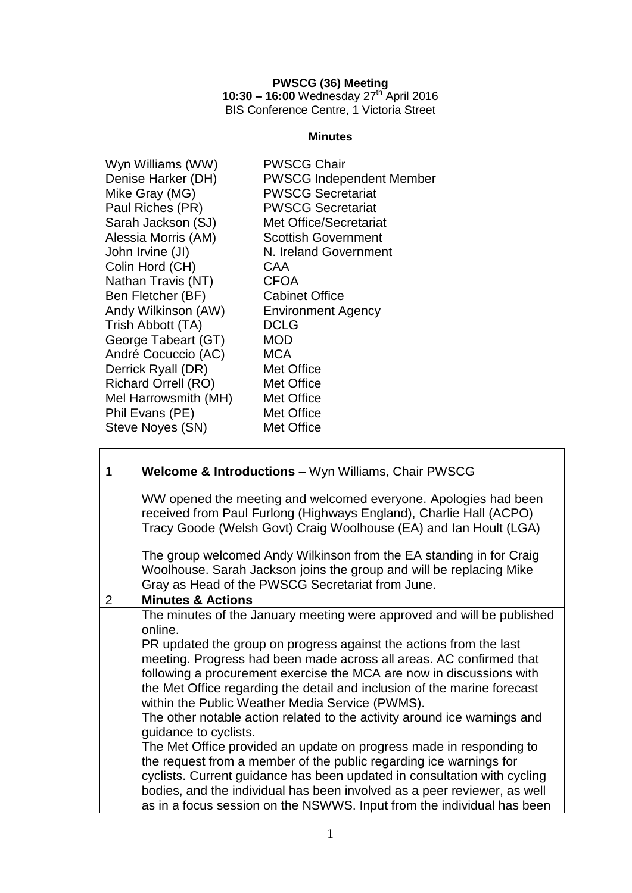### **PWSCG (36) Meeting**

**10:30 – 16:00** Wednesday 27 th April 2016 BIS Conference Centre, 1 Victoria Street

## **Minutes**

| Wyn Williams (WW)          | <b>PWSCG Chair</b>              |
|----------------------------|---------------------------------|
| Denise Harker (DH)         | <b>PWSCG Independent Member</b> |
| Mike Gray (MG)             | <b>PWSCG Secretariat</b>        |
| Paul Riches (PR)           | <b>PWSCG Secretariat</b>        |
| Sarah Jackson (SJ)         | <b>Met Office/Secretariat</b>   |
| Alessia Morris (AM)        | <b>Scottish Government</b>      |
| John Irvine (JI)           | N. Ireland Government           |
| Colin Hord (CH)            | CAA                             |
| Nathan Travis (NT)         | <b>CFOA</b>                     |
| Ben Fletcher (BF)          | <b>Cabinet Office</b>           |
| Andy Wilkinson (AW)        | <b>Environment Agency</b>       |
| Trish Abbott (TA)          | <b>DCLG</b>                     |
| George Tabeart (GT)        | <b>MOD</b>                      |
| André Cocuccio (AC)        | <b>MCA</b>                      |
| Derrick Ryall (DR)         | Met Office                      |
| <b>Richard Orrell (RO)</b> | Met Office                      |
| Mel Harrowsmith (MH)       | Met Office                      |
| Phil Evans (PE)            | Met Office                      |
| Steve Noyes (SN)           | Met Office                      |
|                            |                                 |

| 1 | Welcome & Introductions - Wyn Williams, Chair PWSCG                                                                                                                                                                                                                                                                                                                                                                                                                                                                                                                                                                                                                                                                                                                                                                                                                                                                       |
|---|---------------------------------------------------------------------------------------------------------------------------------------------------------------------------------------------------------------------------------------------------------------------------------------------------------------------------------------------------------------------------------------------------------------------------------------------------------------------------------------------------------------------------------------------------------------------------------------------------------------------------------------------------------------------------------------------------------------------------------------------------------------------------------------------------------------------------------------------------------------------------------------------------------------------------|
|   | WW opened the meeting and welcomed everyone. Apologies had been<br>received from Paul Furlong (Highways England), Charlie Hall (ACPO)<br>Tracy Goode (Welsh Govt) Craig Woolhouse (EA) and Ian Hoult (LGA)                                                                                                                                                                                                                                                                                                                                                                                                                                                                                                                                                                                                                                                                                                                |
|   | The group welcomed Andy Wilkinson from the EA standing in for Craig<br>Woolhouse. Sarah Jackson joins the group and will be replacing Mike<br>Gray as Head of the PWSCG Secretariat from June.                                                                                                                                                                                                                                                                                                                                                                                                                                                                                                                                                                                                                                                                                                                            |
| 2 | <b>Minutes &amp; Actions</b>                                                                                                                                                                                                                                                                                                                                                                                                                                                                                                                                                                                                                                                                                                                                                                                                                                                                                              |
|   | The minutes of the January meeting were approved and will be published<br>online.<br>PR updated the group on progress against the actions from the last<br>meeting. Progress had been made across all areas. AC confirmed that<br>following a procurement exercise the MCA are now in discussions with<br>the Met Office regarding the detail and inclusion of the marine forecast<br>within the Public Weather Media Service (PWMS).<br>The other notable action related to the activity around ice warnings and<br>guidance to cyclists.<br>The Met Office provided an update on progress made in responding to<br>the request from a member of the public regarding ice warnings for<br>cyclists. Current guidance has been updated in consultation with cycling<br>bodies, and the individual has been involved as a peer reviewer, as well<br>as in a focus session on the NSWWS. Input from the individual has been |

<u> 1980 - Johann Barn, mars an t-Amerikaansk politiker (</u>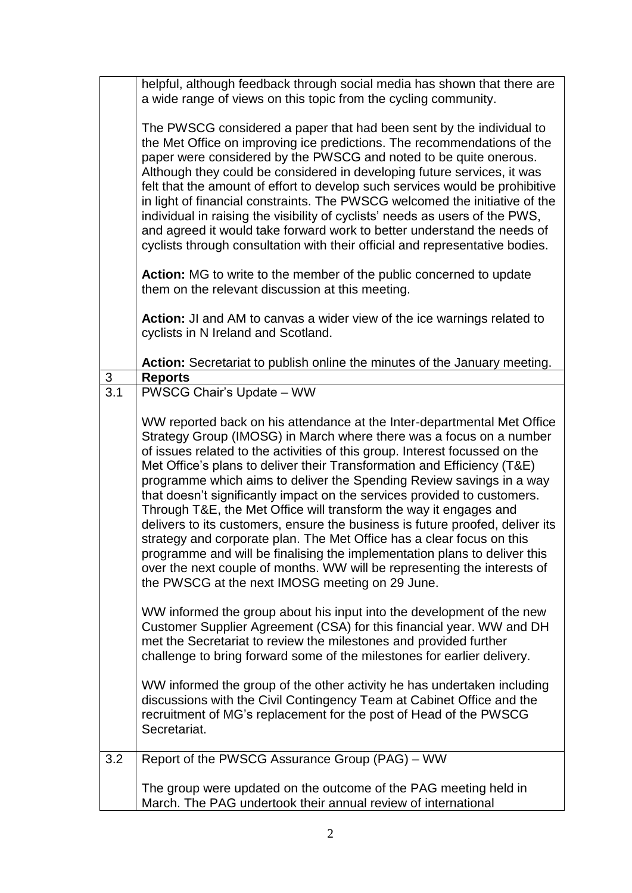|          | helpful, although feedback through social media has shown that there are                                                                                                                                                                                                                                                                                                                                                                                                                                                                                                                                                                                                                                                                                                                                                                                                                                                                                                                                                                                                                                                                                                                                                                                                                                                                                                                                                                          |
|----------|---------------------------------------------------------------------------------------------------------------------------------------------------------------------------------------------------------------------------------------------------------------------------------------------------------------------------------------------------------------------------------------------------------------------------------------------------------------------------------------------------------------------------------------------------------------------------------------------------------------------------------------------------------------------------------------------------------------------------------------------------------------------------------------------------------------------------------------------------------------------------------------------------------------------------------------------------------------------------------------------------------------------------------------------------------------------------------------------------------------------------------------------------------------------------------------------------------------------------------------------------------------------------------------------------------------------------------------------------------------------------------------------------------------------------------------------------|
|          | a wide range of views on this topic from the cycling community.                                                                                                                                                                                                                                                                                                                                                                                                                                                                                                                                                                                                                                                                                                                                                                                                                                                                                                                                                                                                                                                                                                                                                                                                                                                                                                                                                                                   |
|          | The PWSCG considered a paper that had been sent by the individual to<br>the Met Office on improving ice predictions. The recommendations of the<br>paper were considered by the PWSCG and noted to be quite onerous.<br>Although they could be considered in developing future services, it was<br>felt that the amount of effort to develop such services would be prohibitive<br>in light of financial constraints. The PWSCG welcomed the initiative of the<br>individual in raising the visibility of cyclists' needs as users of the PWS,<br>and agreed it would take forward work to better understand the needs of<br>cyclists through consultation with their official and representative bodies.<br><b>Action:</b> MG to write to the member of the public concerned to update<br>them on the relevant discussion at this meeting.<br>Action: JI and AM to canvas a wider view of the ice warnings related to                                                                                                                                                                                                                                                                                                                                                                                                                                                                                                                            |
|          | cyclists in N Ireland and Scotland.                                                                                                                                                                                                                                                                                                                                                                                                                                                                                                                                                                                                                                                                                                                                                                                                                                                                                                                                                                                                                                                                                                                                                                                                                                                                                                                                                                                                               |
|          | Action: Secretariat to publish online the minutes of the January meeting.                                                                                                                                                                                                                                                                                                                                                                                                                                                                                                                                                                                                                                                                                                                                                                                                                                                                                                                                                                                                                                                                                                                                                                                                                                                                                                                                                                         |
| 3<br>3.1 | <b>Reports</b><br>PWSCG Chair's Update - WW                                                                                                                                                                                                                                                                                                                                                                                                                                                                                                                                                                                                                                                                                                                                                                                                                                                                                                                                                                                                                                                                                                                                                                                                                                                                                                                                                                                                       |
|          | WW reported back on his attendance at the Inter-departmental Met Office<br>Strategy Group (IMOSG) in March where there was a focus on a number<br>of issues related to the activities of this group. Interest focussed on the<br>Met Office's plans to deliver their Transformation and Efficiency (T&E)<br>programme which aims to deliver the Spending Review savings in a way<br>that doesn't significantly impact on the services provided to customers.<br>Through T&E, the Met Office will transform the way it engages and<br>delivers to its customers, ensure the business is future proofed, deliver its<br>strategy and corporate plan. The Met Office has a clear focus on this<br>programme and will be finalising the implementation plans to deliver this<br>over the next couple of months. WW will be representing the interests of<br>the PWSCG at the next IMOSG meeting on 29 June.<br>WW informed the group about his input into the development of the new<br>Customer Supplier Agreement (CSA) for this financial year. WW and DH<br>met the Secretariat to review the milestones and provided further<br>challenge to bring forward some of the milestones for earlier delivery.<br>WW informed the group of the other activity he has undertaken including<br>discussions with the Civil Contingency Team at Cabinet Office and the<br>recruitment of MG's replacement for the post of Head of the PWSCG<br>Secretariat. |
| 3.2      | Report of the PWSCG Assurance Group (PAG) - WW                                                                                                                                                                                                                                                                                                                                                                                                                                                                                                                                                                                                                                                                                                                                                                                                                                                                                                                                                                                                                                                                                                                                                                                                                                                                                                                                                                                                    |
|          | The group were updated on the outcome of the PAG meeting held in<br>March. The PAG undertook their annual review of international                                                                                                                                                                                                                                                                                                                                                                                                                                                                                                                                                                                                                                                                                                                                                                                                                                                                                                                                                                                                                                                                                                                                                                                                                                                                                                                 |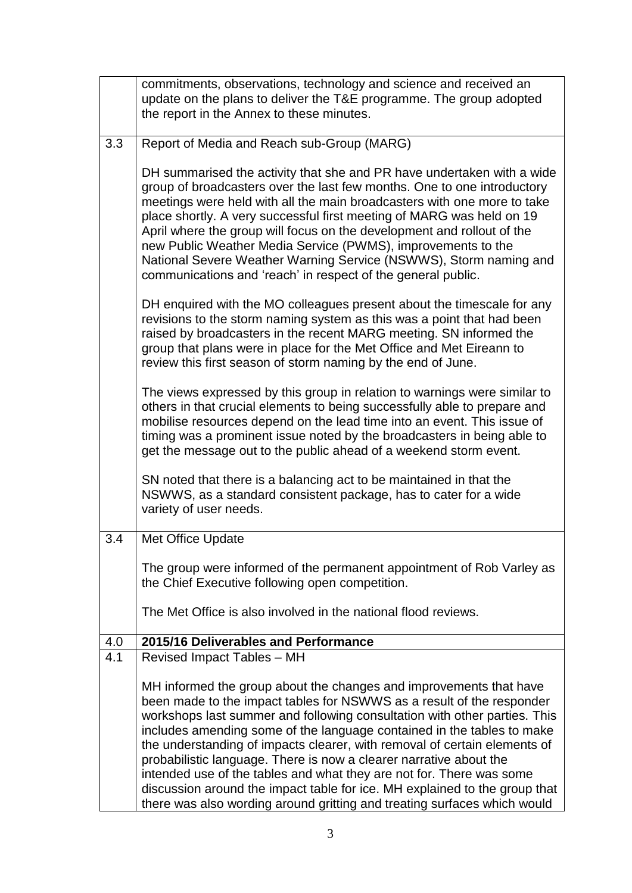|     | commitments, observations, technology and science and received an<br>update on the plans to deliver the T&E programme. The group adopted                                                                                                                                                                                                                                                                                                                                                                                                                                                                                                                                                |
|-----|-----------------------------------------------------------------------------------------------------------------------------------------------------------------------------------------------------------------------------------------------------------------------------------------------------------------------------------------------------------------------------------------------------------------------------------------------------------------------------------------------------------------------------------------------------------------------------------------------------------------------------------------------------------------------------------------|
|     | the report in the Annex to these minutes.                                                                                                                                                                                                                                                                                                                                                                                                                                                                                                                                                                                                                                               |
| 3.3 | Report of Media and Reach sub-Group (MARG)                                                                                                                                                                                                                                                                                                                                                                                                                                                                                                                                                                                                                                              |
|     | DH summarised the activity that she and PR have undertaken with a wide<br>group of broadcasters over the last few months. One to one introductory<br>meetings were held with all the main broadcasters with one more to take<br>place shortly. A very successful first meeting of MARG was held on 19<br>April where the group will focus on the development and rollout of the<br>new Public Weather Media Service (PWMS), improvements to the<br>National Severe Weather Warning Service (NSWWS), Storm naming and<br>communications and 'reach' in respect of the general public.                                                                                                    |
|     | DH enquired with the MO colleagues present about the timescale for any<br>revisions to the storm naming system as this was a point that had been<br>raised by broadcasters in the recent MARG meeting. SN informed the<br>group that plans were in place for the Met Office and Met Eireann to<br>review this first season of storm naming by the end of June.                                                                                                                                                                                                                                                                                                                          |
|     | The views expressed by this group in relation to warnings were similar to<br>others in that crucial elements to being successfully able to prepare and<br>mobilise resources depend on the lead time into an event. This issue of<br>timing was a prominent issue noted by the broadcasters in being able to<br>get the message out to the public ahead of a weekend storm event.                                                                                                                                                                                                                                                                                                       |
|     | SN noted that there is a balancing act to be maintained in that the<br>NSWWS, as a standard consistent package, has to cater for a wide<br>variety of user needs.                                                                                                                                                                                                                                                                                                                                                                                                                                                                                                                       |
| 3.4 | Met Office Update                                                                                                                                                                                                                                                                                                                                                                                                                                                                                                                                                                                                                                                                       |
|     | The group were informed of the permanent appointment of Rob Varley as<br>the Chief Executive following open competition.                                                                                                                                                                                                                                                                                                                                                                                                                                                                                                                                                                |
|     | The Met Office is also involved in the national flood reviews.                                                                                                                                                                                                                                                                                                                                                                                                                                                                                                                                                                                                                          |
| 4.0 | 2015/16 Deliverables and Performance                                                                                                                                                                                                                                                                                                                                                                                                                                                                                                                                                                                                                                                    |
| 4.1 | Revised Impact Tables - MH                                                                                                                                                                                                                                                                                                                                                                                                                                                                                                                                                                                                                                                              |
|     | MH informed the group about the changes and improvements that have<br>been made to the impact tables for NSWWS as a result of the responder<br>workshops last summer and following consultation with other parties. This<br>includes amending some of the language contained in the tables to make<br>the understanding of impacts clearer, with removal of certain elements of<br>probabilistic language. There is now a clearer narrative about the<br>intended use of the tables and what they are not for. There was some<br>discussion around the impact table for ice. MH explained to the group that<br>there was also wording around gritting and treating surfaces which would |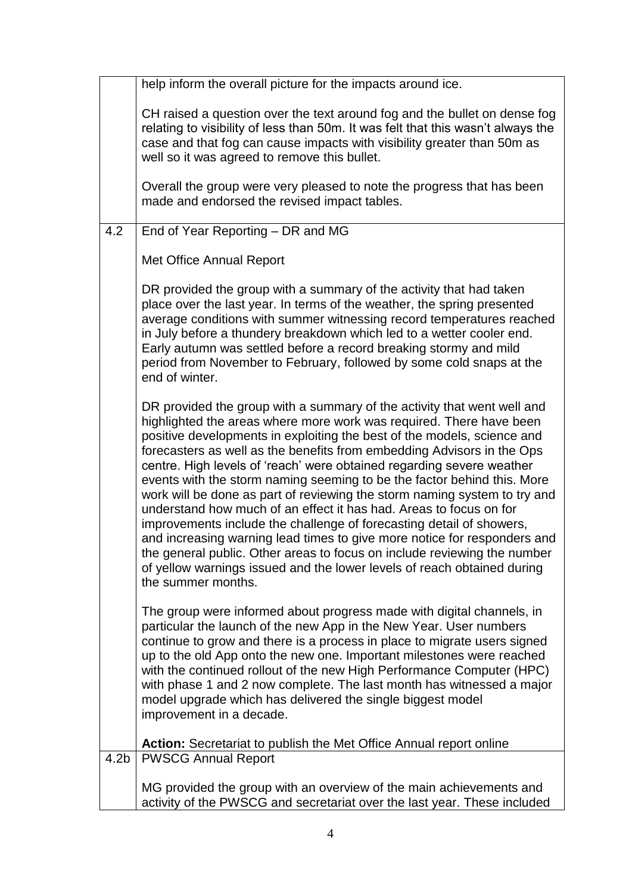|                  | help inform the overall picture for the impacts around ice.                                                                                                                                                                                                                                                                                                                                                                                                                                                                                                                                                                                                                                                                                                                                                                                                                                                                                 |
|------------------|---------------------------------------------------------------------------------------------------------------------------------------------------------------------------------------------------------------------------------------------------------------------------------------------------------------------------------------------------------------------------------------------------------------------------------------------------------------------------------------------------------------------------------------------------------------------------------------------------------------------------------------------------------------------------------------------------------------------------------------------------------------------------------------------------------------------------------------------------------------------------------------------------------------------------------------------|
|                  | CH raised a question over the text around fog and the bullet on dense fog<br>relating to visibility of less than 50m. It was felt that this wasn't always the<br>case and that fog can cause impacts with visibility greater than 50m as<br>well so it was agreed to remove this bullet.                                                                                                                                                                                                                                                                                                                                                                                                                                                                                                                                                                                                                                                    |
|                  | Overall the group were very pleased to note the progress that has been<br>made and endorsed the revised impact tables.                                                                                                                                                                                                                                                                                                                                                                                                                                                                                                                                                                                                                                                                                                                                                                                                                      |
| 4.2              | End of Year Reporting - DR and MG                                                                                                                                                                                                                                                                                                                                                                                                                                                                                                                                                                                                                                                                                                                                                                                                                                                                                                           |
|                  | Met Office Annual Report                                                                                                                                                                                                                                                                                                                                                                                                                                                                                                                                                                                                                                                                                                                                                                                                                                                                                                                    |
|                  | DR provided the group with a summary of the activity that had taken<br>place over the last year. In terms of the weather, the spring presented<br>average conditions with summer witnessing record temperatures reached<br>in July before a thundery breakdown which led to a wetter cooler end.<br>Early autumn was settled before a record breaking stormy and mild<br>period from November to February, followed by some cold snaps at the<br>end of winter.                                                                                                                                                                                                                                                                                                                                                                                                                                                                             |
|                  | DR provided the group with a summary of the activity that went well and<br>highlighted the areas where more work was required. There have been<br>positive developments in exploiting the best of the models, science and<br>forecasters as well as the benefits from embedding Advisors in the Ops<br>centre. High levels of 'reach' were obtained regarding severe weather<br>events with the storm naming seeming to be the factor behind this. More<br>work will be done as part of reviewing the storm naming system to try and<br>understand how much of an effect it has had. Areas to focus on for<br>improvements include the challenge of forecasting detail of showers,<br>and increasing warning lead times to give more notice for responders and<br>the general public. Other areas to focus on include reviewing the number<br>of yellow warnings issued and the lower levels of reach obtained during<br>the summer months. |
|                  | The group were informed about progress made with digital channels, in<br>particular the launch of the new App in the New Year. User numbers<br>continue to grow and there is a process in place to migrate users signed<br>up to the old App onto the new one. Important milestones were reached<br>with the continued rollout of the new High Performance Computer (HPC)<br>with phase 1 and 2 now complete. The last month has witnessed a major<br>model upgrade which has delivered the single biggest model<br>improvement in a decade.                                                                                                                                                                                                                                                                                                                                                                                                |
|                  | Action: Secretariat to publish the Met Office Annual report online                                                                                                                                                                                                                                                                                                                                                                                                                                                                                                                                                                                                                                                                                                                                                                                                                                                                          |
| 4.2 <sub>b</sub> | <b>PWSCG Annual Report</b>                                                                                                                                                                                                                                                                                                                                                                                                                                                                                                                                                                                                                                                                                                                                                                                                                                                                                                                  |
|                  | MG provided the group with an overview of the main achievements and<br>activity of the PWSCG and secretariat over the last year. These included                                                                                                                                                                                                                                                                                                                                                                                                                                                                                                                                                                                                                                                                                                                                                                                             |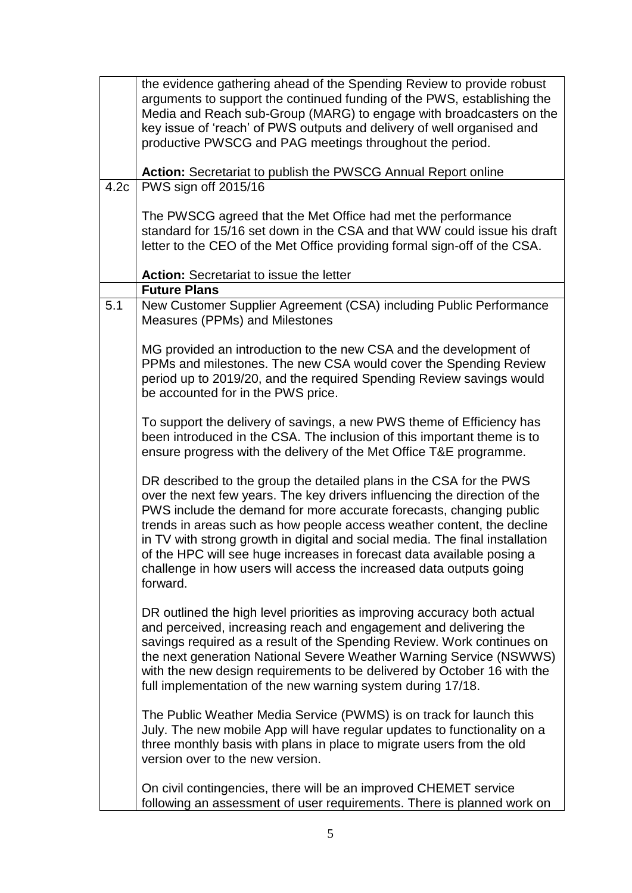|      | the evidence gathering ahead of the Spending Review to provide robust<br>arguments to support the continued funding of the PWS, establishing the<br>Media and Reach sub-Group (MARG) to engage with broadcasters on the<br>key issue of 'reach' of PWS outputs and delivery of well organised and<br>productive PWSCG and PAG meetings throughout the period.<br>Action: Secretariat to publish the PWSCG Annual Report online                                                                                                                 |
|------|------------------------------------------------------------------------------------------------------------------------------------------------------------------------------------------------------------------------------------------------------------------------------------------------------------------------------------------------------------------------------------------------------------------------------------------------------------------------------------------------------------------------------------------------|
| 4.2c | PWS sign off 2015/16                                                                                                                                                                                                                                                                                                                                                                                                                                                                                                                           |
|      | The PWSCG agreed that the Met Office had met the performance<br>standard for 15/16 set down in the CSA and that WW could issue his draft<br>letter to the CEO of the Met Office providing formal sign-off of the CSA.<br><b>Action: Secretariat to issue the letter</b>                                                                                                                                                                                                                                                                        |
|      | <b>Future Plans</b>                                                                                                                                                                                                                                                                                                                                                                                                                                                                                                                            |
| 5.1  | New Customer Supplier Agreement (CSA) including Public Performance<br>Measures (PPMs) and Milestones                                                                                                                                                                                                                                                                                                                                                                                                                                           |
|      | MG provided an introduction to the new CSA and the development of<br>PPMs and milestones. The new CSA would cover the Spending Review<br>period up to 2019/20, and the required Spending Review savings would<br>be accounted for in the PWS price.                                                                                                                                                                                                                                                                                            |
|      | To support the delivery of savings, a new PWS theme of Efficiency has<br>been introduced in the CSA. The inclusion of this important theme is to<br>ensure progress with the delivery of the Met Office T&E programme.                                                                                                                                                                                                                                                                                                                         |
|      | DR described to the group the detailed plans in the CSA for the PWS<br>over the next few years. The key drivers influencing the direction of the<br>PWS include the demand for more accurate forecasts, changing public<br>trends in areas such as how people access weather content, the decline<br>in TV with strong growth in digital and social media. The final installation<br>of the HPC will see huge increases in forecast data available posing a<br>challenge in how users will access the increased data outputs going<br>forward. |
|      | DR outlined the high level priorities as improving accuracy both actual<br>and perceived, increasing reach and engagement and delivering the<br>savings required as a result of the Spending Review. Work continues on<br>the next generation National Severe Weather Warning Service (NSWWS)<br>with the new design requirements to be delivered by October 16 with the<br>full implementation of the new warning system during 17/18.                                                                                                        |
|      | The Public Weather Media Service (PWMS) is on track for launch this<br>July. The new mobile App will have regular updates to functionality on a<br>three monthly basis with plans in place to migrate users from the old<br>version over to the new version.                                                                                                                                                                                                                                                                                   |
|      | On civil contingencies, there will be an improved CHEMET service<br>following an assessment of user requirements. There is planned work on                                                                                                                                                                                                                                                                                                                                                                                                     |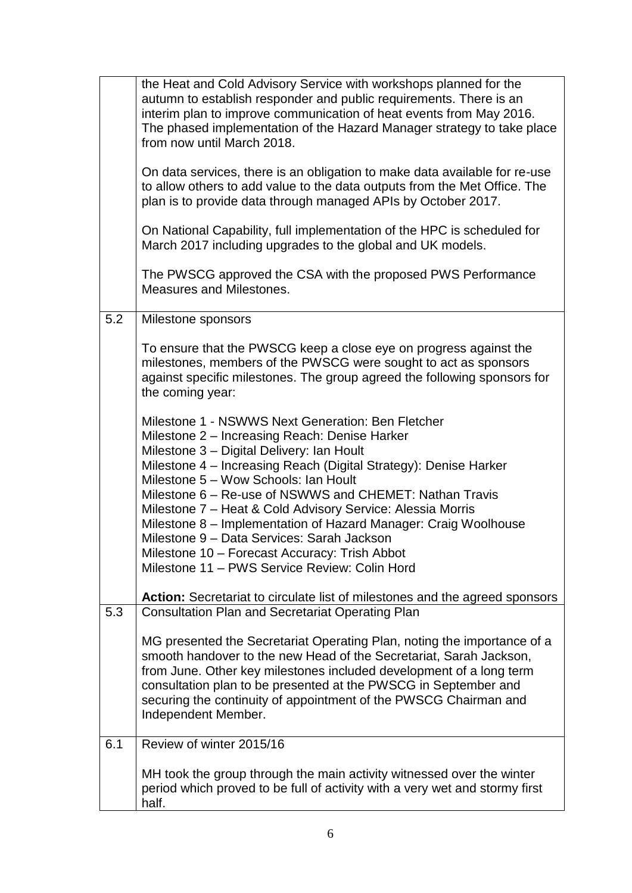|     | the Heat and Cold Advisory Service with workshops planned for the<br>autumn to establish responder and public requirements. There is an<br>interim plan to improve communication of heat events from May 2016.<br>The phased implementation of the Hazard Manager strategy to take place<br>from now until March 2018.<br>On data services, there is an obligation to make data available for re-use<br>to allow others to add value to the data outputs from the Met Office. The<br>plan is to provide data through managed APIs by October 2017.<br>On National Capability, full implementation of the HPC is scheduled for<br>March 2017 including upgrades to the global and UK models.<br>The PWSCG approved the CSA with the proposed PWS Performance<br><b>Measures and Milestones.</b> |
|-----|------------------------------------------------------------------------------------------------------------------------------------------------------------------------------------------------------------------------------------------------------------------------------------------------------------------------------------------------------------------------------------------------------------------------------------------------------------------------------------------------------------------------------------------------------------------------------------------------------------------------------------------------------------------------------------------------------------------------------------------------------------------------------------------------|
| 5.2 | Milestone sponsors                                                                                                                                                                                                                                                                                                                                                                                                                                                                                                                                                                                                                                                                                                                                                                             |
|     | To ensure that the PWSCG keep a close eye on progress against the<br>milestones, members of the PWSCG were sought to act as sponsors<br>against specific milestones. The group agreed the following sponsors for<br>the coming year:                                                                                                                                                                                                                                                                                                                                                                                                                                                                                                                                                           |
|     | Milestone 1 - NSWWS Next Generation: Ben Fletcher<br>Milestone 2 – Increasing Reach: Denise Harker<br>Milestone 3 - Digital Delivery: Ian Hoult<br>Milestone 4 – Increasing Reach (Digital Strategy): Denise Harker<br>Milestone 5 - Wow Schools: Ian Hoult<br>Milestone 6 – Re-use of NSWWS and CHEMET: Nathan Travis<br>Milestone 7 – Heat & Cold Advisory Service: Alessia Morris<br>Milestone 8 - Implementation of Hazard Manager: Craig Woolhouse<br>Milestone 9 - Data Services: Sarah Jackson<br>Milestone 10 – Forecast Accuracy: Trish Abbot<br>Milestone 11 - PWS Service Review: Colin Hord                                                                                                                                                                                        |
|     | Action: Secretariat to circulate list of milestones and the agreed sponsors                                                                                                                                                                                                                                                                                                                                                                                                                                                                                                                                                                                                                                                                                                                    |
| 5.3 | <b>Consultation Plan and Secretariat Operating Plan</b><br>MG presented the Secretariat Operating Plan, noting the importance of a<br>smooth handover to the new Head of the Secretariat, Sarah Jackson,<br>from June. Other key milestones included development of a long term<br>consultation plan to be presented at the PWSCG in September and<br>securing the continuity of appointment of the PWSCG Chairman and<br>Independent Member.                                                                                                                                                                                                                                                                                                                                                  |
| 6.1 | Review of winter 2015/16                                                                                                                                                                                                                                                                                                                                                                                                                                                                                                                                                                                                                                                                                                                                                                       |
|     | MH took the group through the main activity witnessed over the winter<br>period which proved to be full of activity with a very wet and stormy first<br>half.                                                                                                                                                                                                                                                                                                                                                                                                                                                                                                                                                                                                                                  |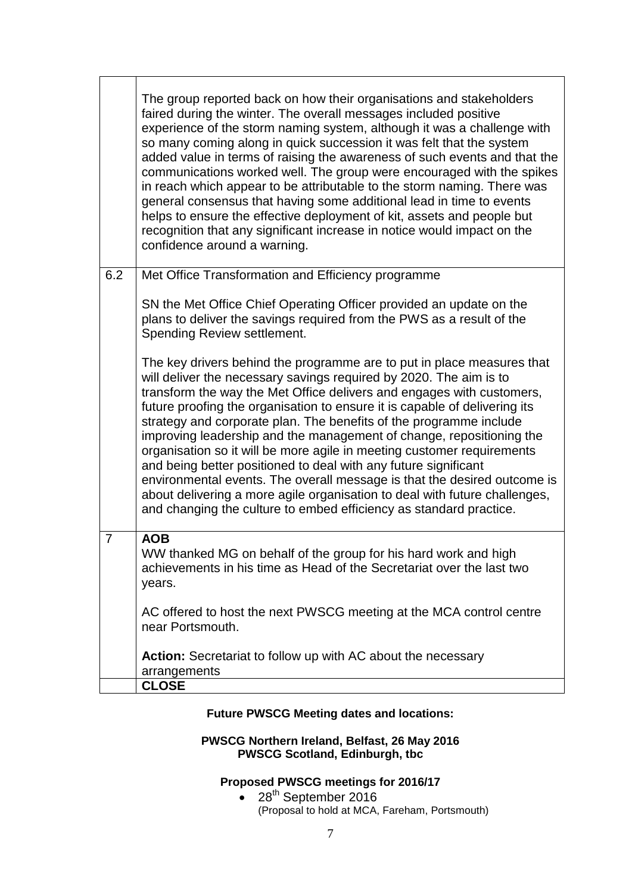|                | The group reported back on how their organisations and stakeholders<br>faired during the winter. The overall messages included positive<br>experience of the storm naming system, although it was a challenge with<br>so many coming along in quick succession it was felt that the system<br>added value in terms of raising the awareness of such events and that the<br>communications worked well. The group were encouraged with the spikes<br>in reach which appear to be attributable to the storm naming. There was<br>general consensus that having some additional lead in time to events<br>helps to ensure the effective deployment of kit, assets and people but<br>recognition that any significant increase in notice would impact on the<br>confidence around a warning.                                       |
|----------------|--------------------------------------------------------------------------------------------------------------------------------------------------------------------------------------------------------------------------------------------------------------------------------------------------------------------------------------------------------------------------------------------------------------------------------------------------------------------------------------------------------------------------------------------------------------------------------------------------------------------------------------------------------------------------------------------------------------------------------------------------------------------------------------------------------------------------------|
| 6.2            | Met Office Transformation and Efficiency programme                                                                                                                                                                                                                                                                                                                                                                                                                                                                                                                                                                                                                                                                                                                                                                             |
|                | SN the Met Office Chief Operating Officer provided an update on the<br>plans to deliver the savings required from the PWS as a result of the<br>Spending Review settlement.                                                                                                                                                                                                                                                                                                                                                                                                                                                                                                                                                                                                                                                    |
|                | The key drivers behind the programme are to put in place measures that<br>will deliver the necessary savings required by 2020. The aim is to<br>transform the way the Met Office delivers and engages with customers,<br>future proofing the organisation to ensure it is capable of delivering its<br>strategy and corporate plan. The benefits of the programme include<br>improving leadership and the management of change, repositioning the<br>organisation so it will be more agile in meeting customer requirements<br>and being better positioned to deal with any future significant<br>environmental events. The overall message is that the desired outcome is<br>about delivering a more agile organisation to deal with future challenges,<br>and changing the culture to embed efficiency as standard practice. |
| $\overline{7}$ | <b>AOB</b><br>WW thanked MG on behalf of the group for his hard work and high                                                                                                                                                                                                                                                                                                                                                                                                                                                                                                                                                                                                                                                                                                                                                  |
|                | achievements in his time as Head of the Secretariat over the last two<br>years.                                                                                                                                                                                                                                                                                                                                                                                                                                                                                                                                                                                                                                                                                                                                                |
|                | AC offered to host the next PWSCG meeting at the MCA control centre<br>near Portsmouth.                                                                                                                                                                                                                                                                                                                                                                                                                                                                                                                                                                                                                                                                                                                                        |
|                | Action: Secretariat to follow up with AC about the necessary<br>arrangements                                                                                                                                                                                                                                                                                                                                                                                                                                                                                                                                                                                                                                                                                                                                                   |
|                | <b>CLOSE</b>                                                                                                                                                                                                                                                                                                                                                                                                                                                                                                                                                                                                                                                                                                                                                                                                                   |

## **Future PWSCG Meeting dates and locations:**

#### **PWSCG Northern Ireland, Belfast, 26 May 2016 PWSCG Scotland, Edinburgh, tbc**

# **Proposed PWSCG meetings for 2016/17**

 $\bullet$  28<sup>th</sup> September 2016 (Proposal to hold at MCA, Fareham, Portsmouth)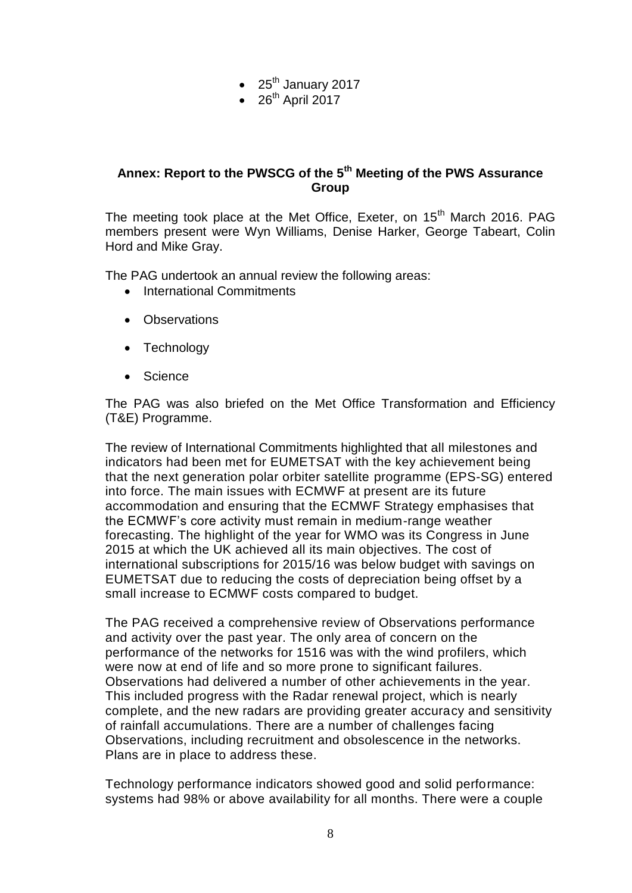- $\bullet$  25<sup>th</sup> January 2017
- $\bullet$  26<sup>th</sup> April 2017

## **Annex: Report to the PWSCG of the 5th Meeting of the PWS Assurance Group**

The meeting took place at the Met Office, Exeter, on 15<sup>th</sup> March 2016. PAG members present were Wyn Williams, Denise Harker, George Tabeart, Colin Hord and Mike Gray.

The PAG undertook an annual review the following areas:

- International Commitments
- Observations
- Technology
- Science

The PAG was also briefed on the Met Office Transformation and Efficiency (T&E) Programme.

The review of International Commitments highlighted that all milestones and indicators had been met for EUMETSAT with the key achievement being that the next generation polar orbiter satellite programme (EPS-SG) entered into force. The main issues with ECMWF at present are its future accommodation and ensuring that the ECMWF Strategy emphasises that the ECMWF's core activity must remain in medium-range weather forecasting. The highlight of the year for WMO was its Congress in June 2015 at which the UK achieved all its main objectives. The cost of international subscriptions for 2015/16 was below budget with savings on EUMETSAT due to reducing the costs of depreciation being offset by a small increase to ECMWF costs compared to budget.

The PAG received a comprehensive review of Observations performance and activity over the past year. The only area of concern on the performance of the networks for 1516 was with the wind profilers, which were now at end of life and so more prone to significant failures. Observations had delivered a number of other achievements in the year. This included progress with the Radar renewal project, which is nearly complete, and the new radars are providing greater accuracy and sensitivity of rainfall accumulations. There are a number of challenges facing Observations, including recruitment and obsolescence in the networks. Plans are in place to address these.

Technology performance indicators showed good and solid performance: systems had 98% or above availability for all months. There were a couple